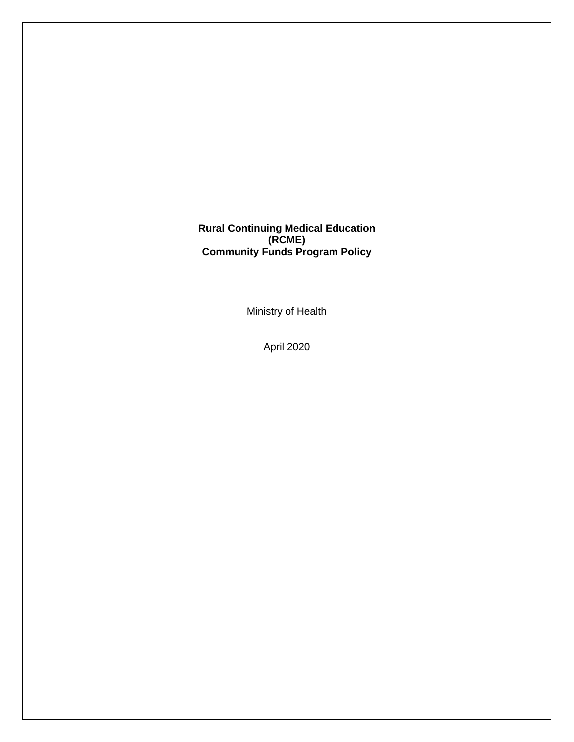**Rural Continuing Medical Education (RCME) Community Funds Program Policy**

Ministry of Health

April 2020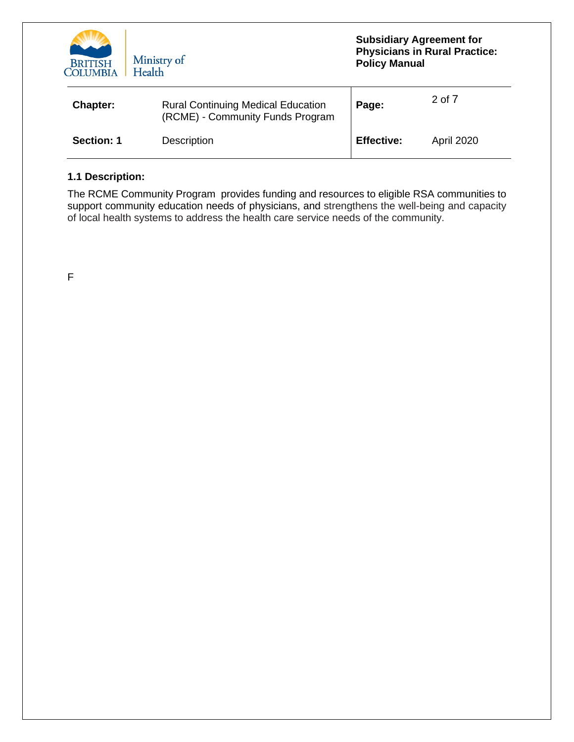

| Chapter:   | <b>Rural Continuing Medical Education</b><br>(RCME) - Community Funds Program | Page:             | 2 of 7            |
|------------|-------------------------------------------------------------------------------|-------------------|-------------------|
| Section: 1 | <b>Description</b>                                                            | <b>Effective:</b> | <b>April 2020</b> |

# **1.1 Description:**

The RCME Community Program provides funding and resources to eligible RSA communities to support community education needs of physicians, and strengthens the well-being and capacity of local health systems to address the health care service needs of the community.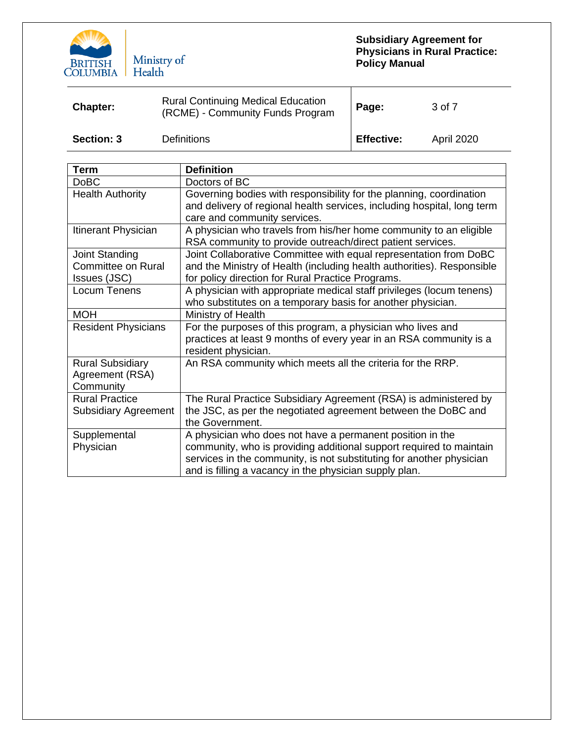

| Chapter:          | <b>Rural Continuing Medical Education</b><br>(RCME) - Community Funds Program | Page:             | 3 of 7            |
|-------------------|-------------------------------------------------------------------------------|-------------------|-------------------|
| <b>Section: 3</b> | <b>Definitions</b>                                                            | <b>Effective:</b> | <b>April 2020</b> |

| <b>Term</b>                                                 | <b>Definition</b>                                                                                                                                                                                                                                                  |
|-------------------------------------------------------------|--------------------------------------------------------------------------------------------------------------------------------------------------------------------------------------------------------------------------------------------------------------------|
| <b>DoBC</b>                                                 | Doctors of BC                                                                                                                                                                                                                                                      |
| <b>Health Authority</b>                                     | Governing bodies with responsibility for the planning, coordination                                                                                                                                                                                                |
|                                                             | and delivery of regional health services, including hospital, long term<br>care and community services.                                                                                                                                                            |
| Itinerant Physician                                         | A physician who travels from his/her home community to an eligible<br>RSA community to provide outreach/direct patient services.                                                                                                                                   |
| Joint Standing<br><b>Committee on Rural</b><br>Issues (JSC) | Joint Collaborative Committee with equal representation from DoBC<br>and the Ministry of Health (including health authorities). Responsible<br>for policy direction for Rural Practice Programs.                                                                   |
| Locum Tenens                                                | A physician with appropriate medical staff privileges (locum tenens)<br>who substitutes on a temporary basis for another physician.                                                                                                                                |
| <b>MOH</b>                                                  | Ministry of Health                                                                                                                                                                                                                                                 |
| <b>Resident Physicians</b>                                  | For the purposes of this program, a physician who lives and<br>practices at least 9 months of every year in an RSA community is a<br>resident physician.                                                                                                           |
| <b>Rural Subsidiary</b><br>Agreement (RSA)<br>Community     | An RSA community which meets all the criteria for the RRP.                                                                                                                                                                                                         |
| <b>Rural Practice</b><br><b>Subsidiary Agreement</b>        | The Rural Practice Subsidiary Agreement (RSA) is administered by<br>the JSC, as per the negotiated agreement between the DoBC and<br>the Government.                                                                                                               |
| Supplemental<br>Physician                                   | A physician who does not have a permanent position in the<br>community, who is providing additional support required to maintain<br>services in the community, is not substituting for another physician<br>and is filling a vacancy in the physician supply plan. |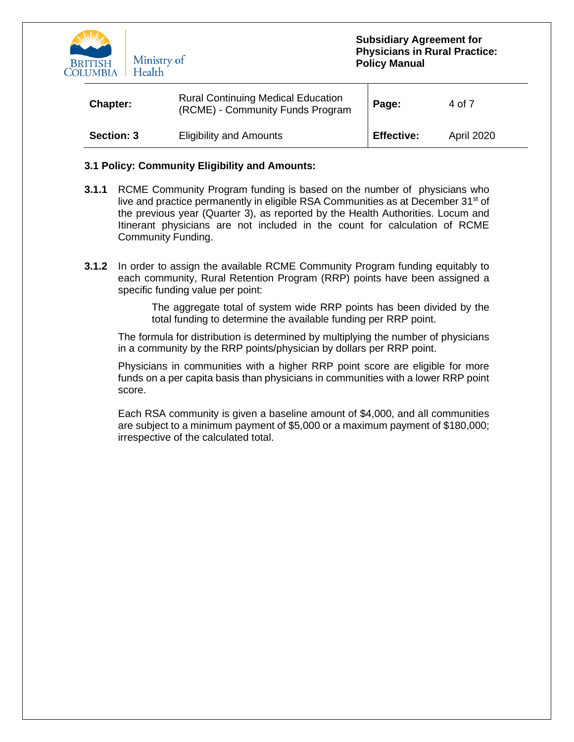

| <b>Chapter:</b>   | <b>Rural Continuing Medical Education</b><br>(RCME) - Community Funds Program | Page:             | 4 of 7     |
|-------------------|-------------------------------------------------------------------------------|-------------------|------------|
| <b>Section: 3</b> | <b>Eligibility and Amounts</b>                                                | <b>Effective:</b> | April 2020 |

#### **3.1 Policy: Community Eligibility and Amounts:**

- **3.1.1** RCME Community Program funding is based on the number of physicians who live and practice permanently in eligible RSA Communities as at December 31<sup>st</sup> of the previous year (Quarter 3), as reported by the Health Authorities. Locum and Itinerant physicians are not included in the count for calculation of RCME Community Funding.
- **3.1.2** In order to assign the available RCME Community Program funding equitably to each community, Rural Retention Program (RRP) points have been assigned a specific funding value per point:

The aggregate total of system wide RRP points has been divided by the total funding to determine the available funding per RRP point.

The formula for distribution is determined by multiplying the number of physicians in a community by the RRP points/physician by dollars per RRP point.

Physicians in communities with a higher RRP point score are eligible for more funds on a per capita basis than physicians in communities with a lower RRP point score.

Each RSA community is given a baseline amount of \$4,000, and all communities are subject to a minimum payment of \$5,000 or a maximum payment of \$180,000; irrespective of the calculated total.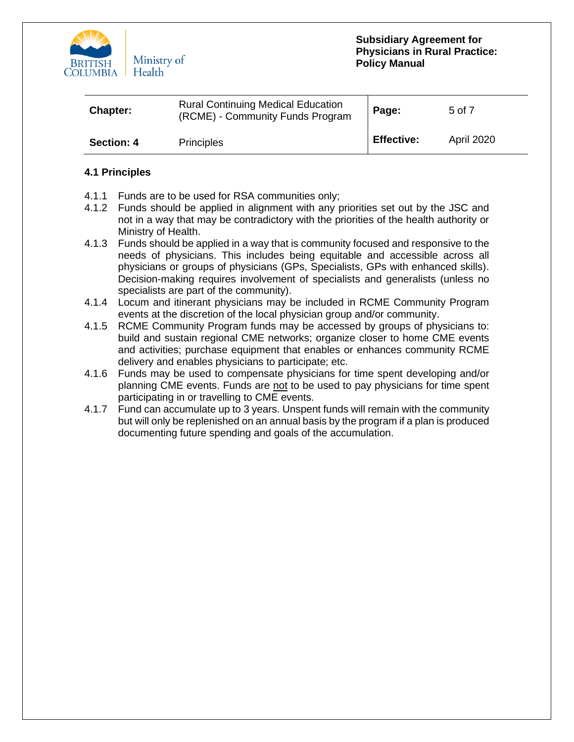

| Chapter:   | <b>Rural Continuing Medical Education</b><br>(RCME) - Community Funds Program | Page:             | 5 of 7     |
|------------|-------------------------------------------------------------------------------|-------------------|------------|
| Section: 4 | <b>Principles</b>                                                             | <b>Effective:</b> | April 2020 |

# **4.1 Principles**

- 4.1.1 Funds are to be used for RSA communities only;
- 4.1.2 Funds should be applied in alignment with any priorities set out by the JSC and not in a way that may be contradictory with the priorities of the health authority or Ministry of Health.
- 4.1.3 Funds should be applied in a way that is community focused and responsive to the needs of physicians. This includes being equitable and accessible across all physicians or groups of physicians (GPs, Specialists, GPs with enhanced skills). Decision-making requires involvement of specialists and generalists (unless no specialists are part of the community).
- 4.1.4 Locum and itinerant physicians may be included in RCME Community Program events at the discretion of the local physician group and/or community.
- 4.1.5 RCME Community Program funds may be accessed by groups of physicians to: build and sustain regional CME networks; organize closer to home CME events and activities; purchase equipment that enables or enhances community RCME delivery and enables physicians to participate; etc.
- 4.1.6 Funds may be used to compensate physicians for time spent developing and/or planning CME events. Funds are not to be used to pay physicians for time spent participating in or travelling to CME events.
- 4.1.7 Fund can accumulate up to 3 years. Unspent funds will remain with the community but will only be replenished on an annual basis by the program if a plan is produced documenting future spending and goals of the accumulation.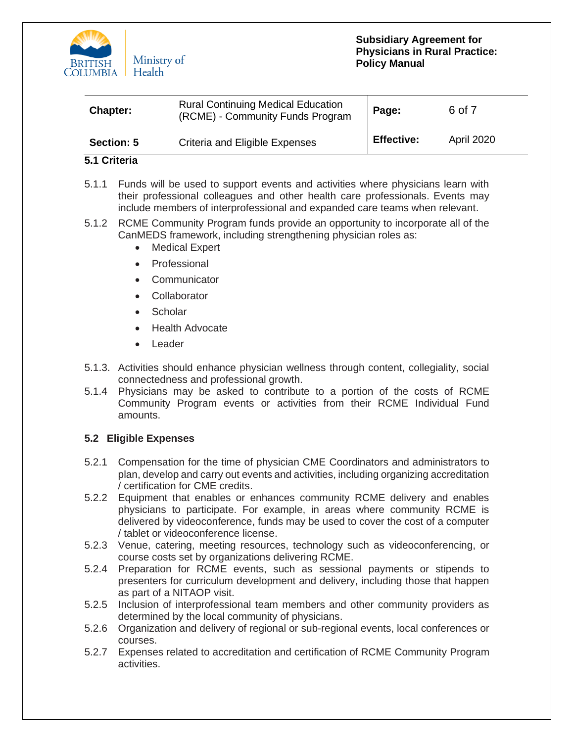

| <b>Chapter:</b>   | <b>Rural Continuing Medical Education</b><br>(RCME) - Community Funds Program | Page:             | 6 of 7            |
|-------------------|-------------------------------------------------------------------------------|-------------------|-------------------|
| <b>Section: 5</b> | Criteria and Eligible Expenses                                                | <b>Effective:</b> | <b>April 2020</b> |

# **5.1 Criteria**

- 5.1.1 Funds will be used to support events and activities where physicians learn with their professional colleagues and other health care professionals. Events may include members of interprofessional and expanded care teams when relevant.
- 5.1.2 RCME Community Program funds provide an opportunity to incorporate all of the CanMEDS framework, including strengthening physician roles as:
	- **Medical Expert**
	- Professional
	- **Communicator**
	- Collaborator
	- Scholar
	- Health Advocate
	- Leader
- 5.1.3. Activities should enhance physician wellness through content, collegiality, social connectedness and professional growth.
- 5.1.4 Physicians may be asked to contribute to a portion of the costs of RCME Community Program events or activities from their RCME Individual Fund amounts.

# **5.2 Eligible Expenses**

- 5.2.1 Compensation for the time of physician CME Coordinators and administrators to plan, develop and carry out events and activities, including organizing accreditation / certification for CME credits.
- 5.2.2 Equipment that enables or enhances community RCME delivery and enables physicians to participate. For example, in areas where community RCME is delivered by videoconference, funds may be used to cover the cost of a computer / tablet or videoconference license.
- 5.2.3 Venue, catering, meeting resources, technology such as videoconferencing, or course costs set by organizations delivering RCME.
- 5.2.4 Preparation for RCME events, such as sessional payments or stipends to presenters for curriculum development and delivery, including those that happen as part of a NITAOP visit.
- 5.2.5 Inclusion of interprofessional team members and other community providers as determined by the local community of physicians.
- 5.2.6 Organization and delivery of regional or sub-regional events, local conferences or courses.
- 5.2.7 Expenses related to accreditation and certification of RCME Community Program activities.